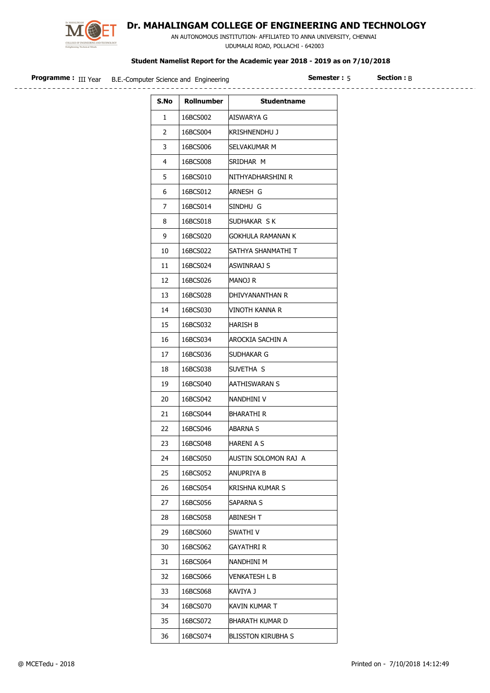

## Dr. MAHALINGAM COLLEGE OF ENGINEERING AND TECHNOLOGY

 AN AUTONOMOUS INSTITUTION- AFFILIATED TO ANNA UNIVERSITY, CHENNAI UDUMALAI ROAD, POLLACHI - 642003

## Student Namelist Report for the Academic year 2018 - 2019 as on 7/10/2018

| Programme<br>III Year | B.E.-Computer Science and Engineering | ______<br>*tion. |
|-----------------------|---------------------------------------|------------------|
|                       |                                       |                  |

 $Semester : 5$  Section : B.

| S.No | <b>Rollnumber</b> | <b>Studentname</b>   |
|------|-------------------|----------------------|
| 1    | 16BCS002          | AISWARYA G           |
| 2    | 16BCS004          | Krishnendhu J        |
| 3    | 16BCS006          | SELVAKUMAR M         |
| 4    | 16BCS008          | SRIDHAR M            |
| 5    | 16BCS010          | NITHYADHARSHINI R    |
| 6    | 16BCS012          | ARNESH G             |
| 7    | 16BCS014          | SINDHU G             |
| 8    | 16BCS018          | SUDHAKAR SK          |
| 9    | 16BCS020          | GOKHULA RAMANAN K    |
| 10   | 16BCS022          | SATHYA SHANMATHI T   |
| 11   | 16BCS024          | ASWINRAAJ S          |
| 12   | 16BCS026          | Manoj R              |
| 13   | 16BCS028          | DHIVYANANTHAN R      |
| 14   | 16BCS030          | VINOTH KANNA R       |
| 15   | 16BCS032          | HARISH B             |
| 16   | 16BCS034          | AROCKIA SACHIN A     |
| 17   | 16BCS036          | Sudhakar G           |
| 18   | 16BCS038          | SUVETHA S            |
| 19   | 16BCS040          | AATHISWARAN S        |
| 20   | 16BCS042          | NANDHINI V           |
| 21   | 16BCS044          | BHARATHI R           |
| 22   | 16BCS046          | ABARNA S             |
| 23   | 16BCS048          | HARENI A S           |
| 24   | 16BCS050          | AUSTIN SOLOMON RAJ A |
| 25   | 16BCS052          | ANUPRIYA B           |
| 26   | 16BCS054          | Krishna kumar S      |
| 27   | 16BCS056          | SAPARNA S            |
| 28   | 16BCS058          | ABINESH T            |
| 29   | 16BCS060          | SWATHI V             |
| 30   | 16BCS062          | GAYATHRI R           |
| 31   | 16BCS064          | nandhini m           |
| 32   | 16BCS066          | VENKATESH L B        |
| 33   | 16BCS068          | KAVIYA J             |
| 34   | 16BCS070          | KAVIN KUMAR T        |
| 35   | 16BCS072          | BHARATH KUMAR D      |
| 36   | 16BCS074          | BLISSTON KIRUBHA S   |